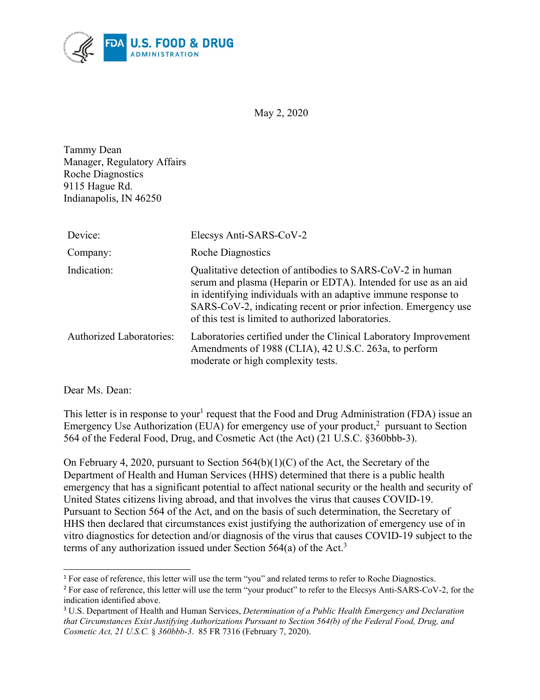

May 2, 2020

Tammy Dean Manager, Regulatory Affairs Roche Diagnostics 9115 Hague Rd. Indianapolis, IN 46250

| Device:                         | Elecsys Anti-SARS-CoV-2                                                                                                                                                                                                                                                                                                  |
|---------------------------------|--------------------------------------------------------------------------------------------------------------------------------------------------------------------------------------------------------------------------------------------------------------------------------------------------------------------------|
| Company:                        | <b>Roche Diagnostics</b>                                                                                                                                                                                                                                                                                                 |
| Indication:                     | Qualitative detection of antibodies to SARS-CoV-2 in human<br>serum and plasma (Heparin or EDTA). Intended for use as an aid<br>in identifying individuals with an adaptive immune response to<br>SARS-CoV-2, indicating recent or prior infection. Emergency use<br>of this test is limited to authorized laboratories. |
| <b>Authorized Laboratories:</b> | Laboratories certified under the Clinical Laboratory Improvement<br>Amendments of 1988 (CLIA), 42 U.S.C. 263a, to perform<br>moderate or high complexity tests.                                                                                                                                                          |

Dear Ms. Dean:

This letter is in response to your<sup>[1](#page-0-0)</sup> request that the Food and Drug Administration (FDA) issue an Emergency Use Authorization (EUA) for emergency use of your product, $^2$  $^2$  pursuant to Section 564 of the Federal Food, Drug, and Cosmetic Act (the Act) (21 U.S.C. §360bbb-3).

On February 4, 2020, pursuant to Section 564(b)(1)(C) of the Act, the Secretary of the Department of Health and Human Services (HHS) determined that there is a public health emergency that has a significant potential to affect national security or the health and security of United States citizens living abroad, and that involves the virus that causes COVID-19. Pursuant to Section 564 of the Act, and on the basis of such determination, the Secretary of HHS then declared that circumstances exist justifying the authorization of emergency use of in vitro diagnostics for detection and/or diagnosis of the virus that causes COVID-19 subject to the terms of any authorization issued under Section 564(a) of the Act.<sup>[3](#page-0-2)</sup>

<span id="page-0-0"></span> $\overline{a}$ <sup>1</sup> For ease of reference, this letter will use the term "you" and related terms to refer to Roche Diagnostics.

<span id="page-0-1"></span><sup>&</sup>lt;sup>2</sup> For ease of reference, this letter will use the term "your product" to refer to the Elecsys Anti-SARS-CoV-2, for the indication identified above.

<span id="page-0-2"></span><sup>3</sup> U.S. Department of Health and Human Services, *Determination of a Public Health Emergency and Declaration that Circumstances Exist Justifying Authorizations Pursuant to Section 564(b) of the Federal Food, Drug, and Cosmetic Act, 21 U.S.C.* § *360bbb-3*. 85 FR 7316 (February 7, 2020).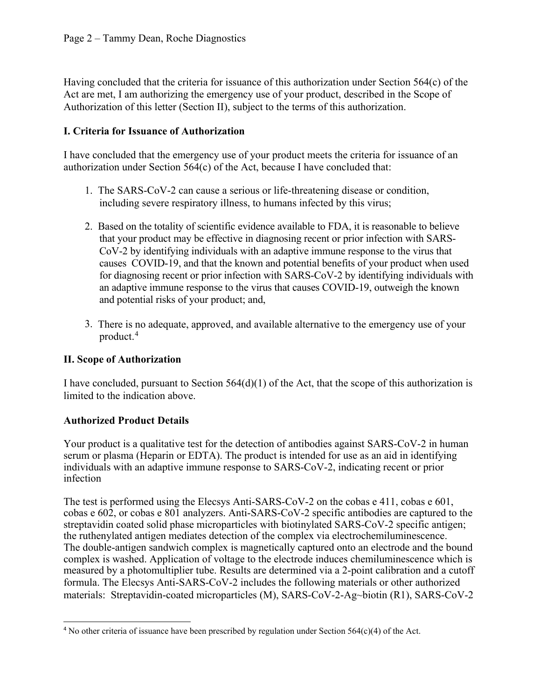Having concluded that the criteria for issuance of this authorization under Section 564(c) of the Act are met, I am authorizing the emergency use of your product, described in the Scope of Authorization of this letter (Section II), subject to the terms of this authorization.

## **I. Criteria for Issuance of Authorization**

I have concluded that the emergency use of your product meets the criteria for issuance of an authorization under Section 564(c) of the Act, because I have concluded that:

- 1. The SARS-CoV-2 can cause a serious or life-threatening disease or condition, including severe respiratory illness, to humans infected by this virus;
- 2. Based on the totality of scientific evidence available to FDA, it is reasonable to believe that your product may be effective in diagnosing recent or prior infection with SARS-CoV-2 by identifying individuals with an adaptive immune response to the virus that causes COVID-19, and that the known and potential benefits of your product when used for diagnosing recent or prior infection with SARS-CoV-2 by identifying individuals with an adaptive immune response to the virus that causes COVID-19, outweigh the known and potential risks of your product; and,
- 3. There is no adequate, approved, and available alternative to the emergency use of your product. [4](#page-1-0)

# **II. Scope of Authorization**

I have concluded, pursuant to Section 564(d)(1) of the Act, that the scope of this authorization is limited to the indication above.

# **Authorized Product Details**

Your product is a qualitative test for the detection of antibodies against SARS-CoV-2 in human serum or plasma (Heparin or EDTA). The product is intended for use as an aid in identifying individuals with an adaptive immune response to SARS-CoV-2, indicating recent or prior infection

The test is performed using the Elecsys Anti-SARS-CoV-2 on the cobas e 411, cobas e 601, cobas e 602, or cobas e 801 analyzers. Anti-SARS-CoV-2 specific antibodies are captured to the streptavidin coated solid phase microparticles with biotinylated SARS-CoV-2 specific antigen; the ruthenylated antigen mediates detection of the complex via electrochemiluminescence. The double-antigen sandwich complex is magnetically captured onto an electrode and the bound complex is washed. Application of voltage to the electrode induces chemiluminescence which is measured by a photomultiplier tube. Results are determined via a 2-point calibration and a cutoff formula. The Elecsys Anti-SARS-CoV-2 includes the following materials or other authorized materials: Streptavidin-coated microparticles (M), SARS-CoV-2-Ag~biotin (R1), SARS-CoV-2

<span id="page-1-0"></span> $\overline{a}$ <sup>4</sup> No other criteria of issuance have been prescribed by regulation under Section  $564(c)(4)$  of the Act.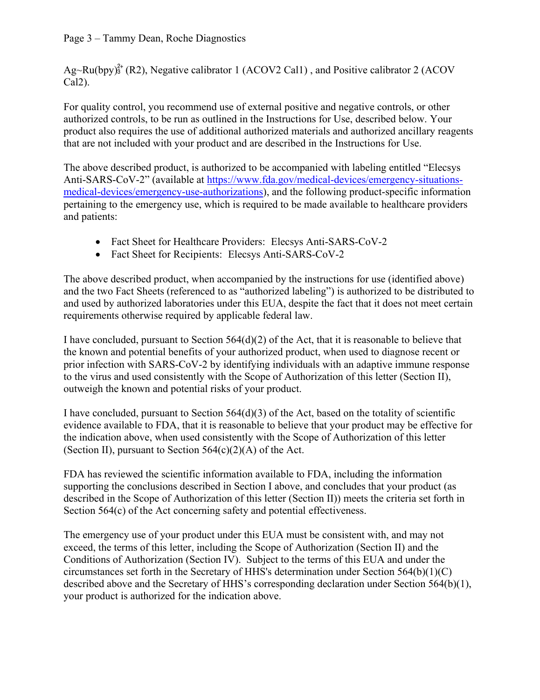### Page 3 – Tammy Dean, Roche Diagnostics

 $Ag-Ru(bpy)<sup>2+</sup><sub>3</sub> (R2)$ , Negative calibrator 1 (ACOV2 Cal1), and Positive calibrator 2 (ACOV Cal2).

For quality control, you recommend use of external positive and negative controls, or other authorized controls, to be run as outlined in the Instructions for Use, described below. Your product also requires the use of additional authorized materials and authorized ancillary reagents that are not included with your product and are described in the Instructions for Use.

The above described product, is authorized to be accompanied with labeling entitled "Elecsys Anti-SARS-CoV-2" (available at [https://www.fda.gov/medical-devices/emergency-situations](https://www.fda.gov/medical-devices/emergency-situations-medical-devices/emergency-use-authorizations)[medical-devices/emergency-use-authorizations\)](https://www.fda.gov/medical-devices/emergency-situations-medical-devices/emergency-use-authorizations), and the following product-specific information pertaining to the emergency use, which is required to be made available to healthcare providers and patients:

- Fact Sheet for Healthcare Providers: Elecsys Anti-SARS-CoV-2
- · Fact Sheet for Recipients: Elecsys Anti-SARS-CoV-2

The above described product, when accompanied by the instructions for use (identified above) and the two Fact Sheets (referenced to as "authorized labeling") is authorized to be distributed to and used by authorized laboratories under this EUA, despite the fact that it does not meet certain requirements otherwise required by applicable federal law.

I have concluded, pursuant to Section  $564(d)(2)$  of the Act, that it is reasonable to believe that the known and potential benefits of your authorized product, when used to diagnose recent or prior infection with SARS-CoV-2 by identifying individuals with an adaptive immune response to the virus and used consistently with the Scope of Authorization of this letter (Section II), outweigh the known and potential risks of your product.

I have concluded, pursuant to Section 564(d)(3) of the Act, based on the totality of scientific evidence available to FDA, that it is reasonable to believe that your product may be effective for the indication above, when used consistently with the Scope of Authorization of this letter (Section II), pursuant to Section  $564(c)(2)(A)$  of the Act.

FDA has reviewed the scientific information available to FDA, including the information supporting the conclusions described in Section I above, and concludes that your product (as described in the Scope of Authorization of this letter (Section II)) meets the criteria set forth in Section 564(c) of the Act concerning safety and potential effectiveness.

The emergency use of your product under this EUA must be consistent with, and may not exceed, the terms of this letter, including the Scope of Authorization (Section II) and the Conditions of Authorization (Section IV). Subject to the terms of this EUA and under the circumstances set forth in the Secretary of HHS's determination under Section  $564(b)(1)(C)$ described above and the Secretary of HHS's corresponding declaration under Section 564(b)(1), your product is authorized for the indication above.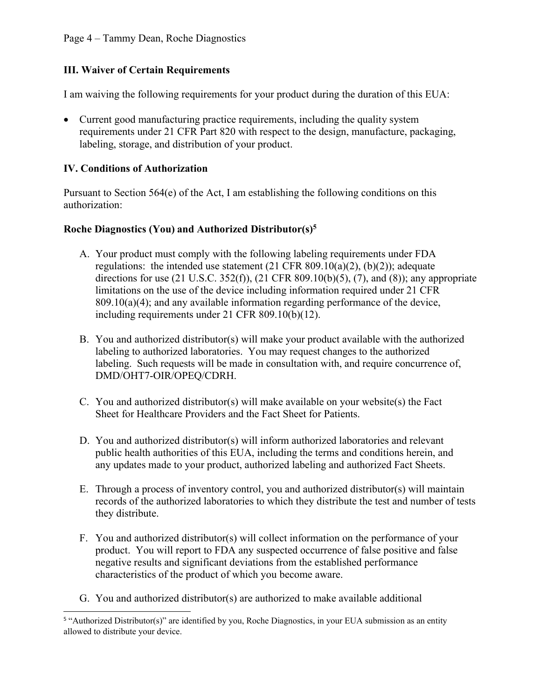#### Page 4 – Tammy Dean, Roche Diagnostics

### **III. Waiver of Certain Requirements**

I am waiving the following requirements for your product during the duration of this EUA:

• Current good manufacturing practice requirements, including the quality system requirements under 21 CFR Part 820 with respect to the design, manufacture, packaging, labeling, storage, and distribution of your product.

#### **IV. Conditions of Authorization**

Pursuant to Section  $564(e)$  of the Act, I am establishing the following conditions on this authorization:

#### **Roche Diagnostics (You) and Authorized Distributor(s)[5](#page-3-0)**

- A. Your product must comply with the following labeling requirements under FDA regulations: the intended use statement  $(21 \text{ CFR } 809.10(a)(2)$ ,  $(b)(2)$ ); adequate directions for use (21 U.S.C. 352(f)), (21 CFR 809.10(b)(5), (7), and (8)); any appropriate limitations on the use of the device including information required under 21 CFR  $809.10(a)(4)$ ; and any available information regarding performance of the device, including requirements under 21 CFR 809.10(b)(12).
- B. You and authorized distributor(s) will make your product available with the authorized labeling to authorized laboratories. You may request changes to the authorized labeling. Such requests will be made in consultation with, and require concurrence of, DMD/OHT7-OIR/OPEQ/CDRH.
- C. You and authorized distributor(s) will make available on your website(s) the Fact Sheet for Healthcare Providers and the Fact Sheet for Patients.
- D. You and authorized distributor(s) will inform authorized laboratories and relevant public health authorities of this EUA, including the terms and conditions herein, and any updates made to your product, authorized labeling and authorized Fact Sheets.
- E. Through a process of inventory control, you and authorized distributor(s) will maintain records of the authorized laboratories to which they distribute the test and number of tests they distribute.
- F. You and authorized distributor(s) will collect information on the performance of your product. You will report to FDA any suspected occurrence of false positive and false negative results and significant deviations from the established performance characteristics of the product of which you become aware.
- G. You and authorized distributor(s) are authorized to make available additional

<span id="page-3-0"></span> 5 "Authorized Distributor(s)" are identified by you, Roche Diagnostics, in your EUA submission as an entity allowed to distribute your device.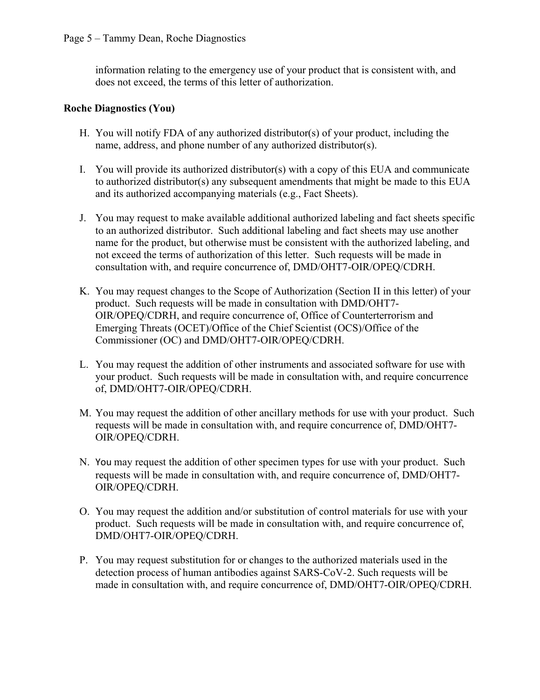information relating to the emergency use of your product that is consistent with, and does not exceed, the terms of this letter of authorization.

## **Roche Diagnostics (You)**

- H. You will notify FDA of any authorized distributor(s) of your product, including the name, address, and phone number of any authorized distributor(s).
- I. You will provide its authorized distributor(s) with a copy of this EUA and communicate to authorized distributor(s) any subsequent amendments that might be made to this EUA and its authorized accompanying materials (e.g., Fact Sheets).
- J. You may request to make available additional authorized labeling and fact sheets specific to an authorized distributor. Such additional labeling and fact sheets may use another name for the product, but otherwise must be consistent with the authorized labeling, and not exceed the terms of authorization of this letter. Such requests will be made in consultation with, and require concurrence of, DMD/OHT7-OIR/OPEQ/CDRH.
- K. You may request changes to the Scope of Authorization (Section II in this letter) of your product. Such requests will be made in consultation with DMD/OHT7- OIR/OPEQ/CDRH, and require concurrence of, Office of Counterterrorism and Emerging Threats (OCET)/Office of the Chief Scientist (OCS)/Office of the Commissioner (OC) and DMD/OHT7-OIR/OPEQ/CDRH.
- L. You may request the addition of other instruments and associated software for use with your product. Such requests will be made in consultation with, and require concurrence of, DMD/OHT7-OIR/OPEQ/CDRH.
- M. You may request the addition of other ancillary methods for use with your product. Such requests will be made in consultation with, and require concurrence of, DMD/OHT7- OIR/OPEQ/CDRH.
- N. You may request the addition of other specimen types for use with your product. Such requests will be made in consultation with, and require concurrence of, DMD/OHT7- OIR/OPEQ/CDRH.
- O. You may request the addition and/or substitution of control materials for use with your product. Such requests will be made in consultation with, and require concurrence of, DMD/OHT7-OIR/OPEQ/CDRH.
- P. You may request substitution for or changes to the authorized materials used in the detection process of human antibodies against SARS-CoV-2. Such requests will be made in consultation with, and require concurrence of, DMD/OHT7-OIR/OPEQ/CDRH.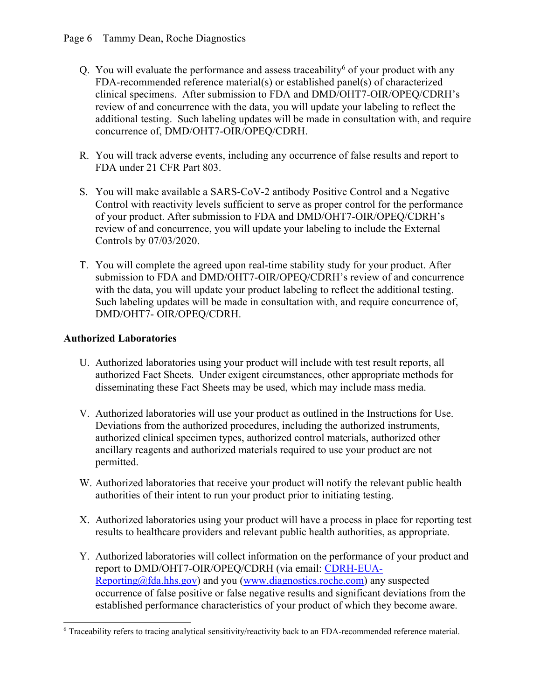- Q. You will evaluate the performance and assess traceability<sup>[6](#page-5-0)</sup> of your product with any FDA-recommended reference material(s) or established panel(s) of characterized clinical specimens. After submission to FDA and DMD/OHT7-OIR/OPEQ/CDRH's review of and concurrence with the data, you will update your labeling to reflect the additional testing. Such labeling updates will be made in consultation with, and require concurrence of, DMD/OHT7-OIR/OPEQ/CDRH.
- R. You will track adverse events, including any occurrence of false results and report to FDA under 21 CFR Part 803.
- S. You will make available a SARS-CoV-2 antibody Positive Control and a Negative Control with reactivity levels sufficient to serve as proper control for the performance of your product. After submission to FDA and DMD/OHT7-OIR/OPEQ/CDRH's review of and concurrence, you will update your labeling to include the External Controls by 07/03/2020.
- T. You will complete the agreed upon real-time stability study for your product. After submission to FDA and DMD/OHT7-OIR/OPEQ/CDRH's review of and concurrence with the data, you will update your product labeling to reflect the additional testing. Such labeling updates will be made in consultation with, and require concurrence of, DMD/OHT7- OIR/OPEQ/CDRH.

# **Authorized Laboratories**

- U. Authorized laboratories using your product will include with test result reports, all authorized Fact Sheets. Under exigent circumstances, other appropriate methods for disseminating these Fact Sheets may be used, which may include mass media.
- V. Authorized laboratories will use your product as outlined in the Instructions for Use. Deviations from the authorized procedures, including the authorized instruments, authorized clinical specimen types, authorized control materials, authorized other ancillary reagents and authorized materials required to use your product are not permitted.
- W. Authorized laboratories that receive your product will notify the relevant public health authorities of their intent to run your product prior to initiating testing.
- X. Authorized laboratories using your product will have a process in place for reporting test results to healthcare providers and relevant public health authorities, as appropriate.
- Y. Authorized laboratories will collect information on the performance of your product and report to DMD/OHT7-OIR/OPEQ/CDRH (via email: [CDRH-EUA-](mailto:CDRH-EUA-Reporting@fda.hhs.gov)[Reporting@fda.hhs.gov](mailto:CDRH-EUA-Reporting@fda.hhs.gov)) and you ([www.diagnostics.roche.com](http://www.diagnostics.roche.com/)) any suspected occurrence of false positive or false negative results and significant deviations from the established performance characteristics of your product of which they become aware.

<span id="page-5-0"></span> $\overline{a}$ <sup>6</sup> Traceability refers to tracing analytical sensitivity/reactivity back to an FDA-recommended reference material.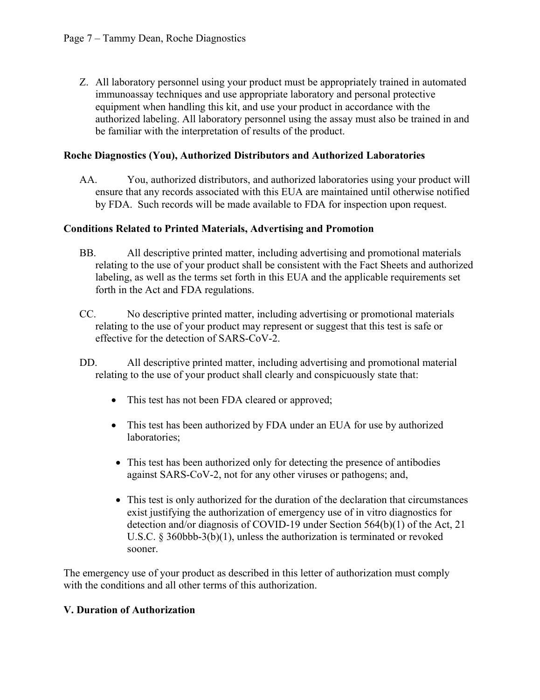Z. All laboratory personnel using your product must be appropriately trained in automated immunoassay techniques and use appropriate laboratory and personal protective equipment when handling this kit, and use your product in accordance with the authorized labeling. All laboratory personnel using the assay must also be trained in and be familiar with the interpretation of results of the product.

### **Roche Diagnostics (You), Authorized Distributors and Authorized Laboratories**

AA. You, authorized distributors, and authorized laboratories using your product will ensure that any records associated with this EUA are maintained until otherwise notified by FDA. Such records will be made available to FDA for inspection upon request.

## **Conditions Related to Printed Materials, Advertising and Promotion**

- BB. All descriptive printed matter, including advertising and promotional materials relating to the use of your product shall be consistent with the Fact Sheets and authorized labeling, as well as the terms set forth in this EUA and the applicable requirements set forth in the Act and FDA regulations.
- CC. No descriptive printed matter, including advertising or promotional materials relating to the use of your product may represent or suggest that this test is safe or effective for the detection of SARS-CoV-2.
- DD. All descriptive printed matter, including advertising and promotional material relating to the use of your product shall clearly and conspicuously state that:
	- This test has not been FDA cleared or approved;
	- This test has been authorized by FDA under an EUA for use by authorized laboratories;
	- This test has been authorized only for detecting the presence of antibodies against SARS-CoV-2, not for any other viruses or pathogens; and,
	- This test is only authorized for the duration of the declaration that circumstances exist justifying the authorization of emergency use of in vitro diagnostics for detection and/or diagnosis of COVID-19 under Section 564(b)(1) of the Act, 21 U.S.C. § 360bbb-3(b)(1), unless the authorization is terminated or revoked sooner.

The emergency use of your product as described in this letter of authorization must comply with the conditions and all other terms of this authorization.

### **V. Duration of Authorization**